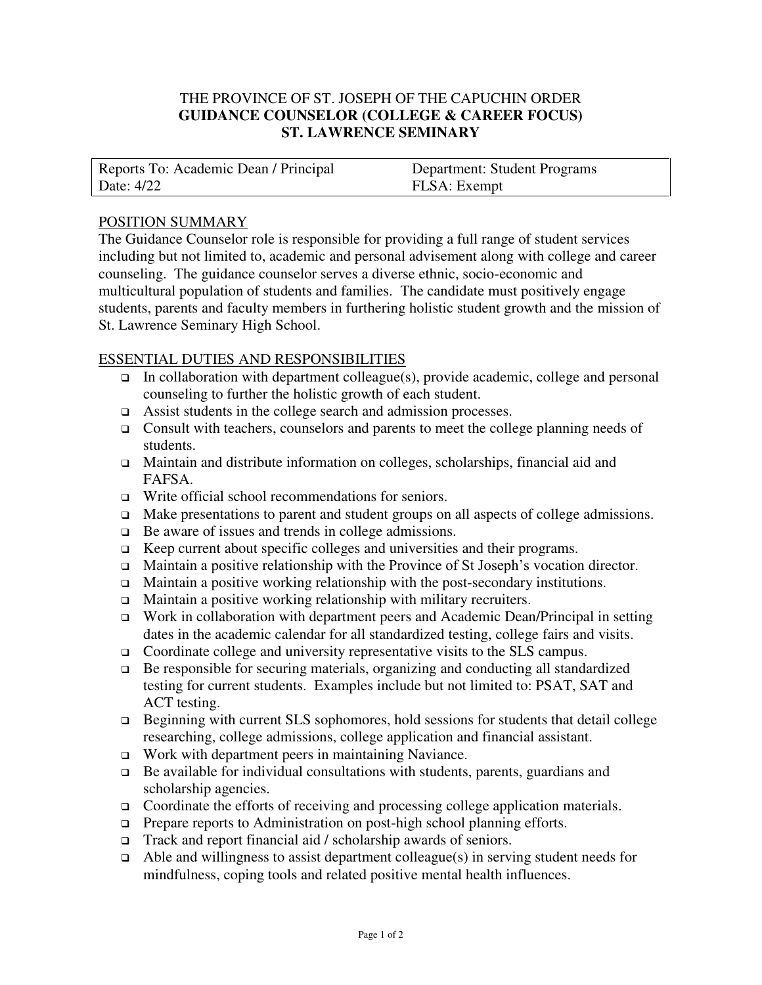# THE PROVINCE OF ST. JOSEPH OF THE CAPUCHIN ORDER **GUIDANCE COUNSELOR (COLLEGE & CAREER FOCUS) ST. LAWRENCE SEMINARY**

| Reports To: Academic Dean / Principal | <b>Department: Student Programs</b> |
|---------------------------------------|-------------------------------------|
| Date: 4/22                            | FLSA: Exempt                        |

### POSITION SUMMARY

The Guidance Counselor role is responsible for providing a full range of student services including but not limited to, academic and personal advisement along with college and career counseling. The guidance counselor serves a diverse ethnic, socio-economic and multicultural population of students and families. The candidate must positively engage students, parents and faculty members in furthering holistic student growth and the mission of St. Lawrence Seminary High School.

### ESSENTIAL DUTIES AND RESPONSIBILITIES

- $\Box$  In collaboration with department colleague(s), provide academic, college and personal counseling to further the holistic growth of each student.
- Assist students in the college search and admission processes.
- $\Box$  Consult with teachers, counselors and parents to meet the college planning needs of students.
- Maintain and distribute information on colleges, scholarships, financial aid and FAFSA.
- □ Write official school recommendations for seniors.
- Make presentations to parent and student groups on all aspects of college admissions.
- □ Be aware of issues and trends in college admissions.
- Keep current about specific colleges and universities and their programs.
- Maintain a positive relationship with the Province of St Joseph's vocation director.
- $\Box$  Maintain a positive working relationship with the post-secondary institutions.
- Maintain a positive working relationship with military recruiters.
- Work in collaboration with department peers and Academic Dean/Principal in setting dates in the academic calendar for all standardized testing, college fairs and visits.
- Coordinate college and university representative visits to the SLS campus.
- Be responsible for securing materials, organizing and conducting all standardized testing for current students. Examples include but not limited to: PSAT, SAT and ACT testing.
- Beginning with current SLS sophomores, hold sessions for students that detail college researching, college admissions, college application and financial assistant.
- Work with department peers in maintaining Naviance.
- $\Box$  Be available for individual consultations with students, parents, guardians and scholarship agencies.
- □ Coordinate the efforts of receiving and processing college application materials.
- □ Prepare reports to Administration on post-high school planning efforts.
- Track and report financial aid / scholarship awards of seniors.
- $\Box$  Able and willingness to assist department colleague(s) in serving student needs for mindfulness, coping tools and related positive mental health influences.